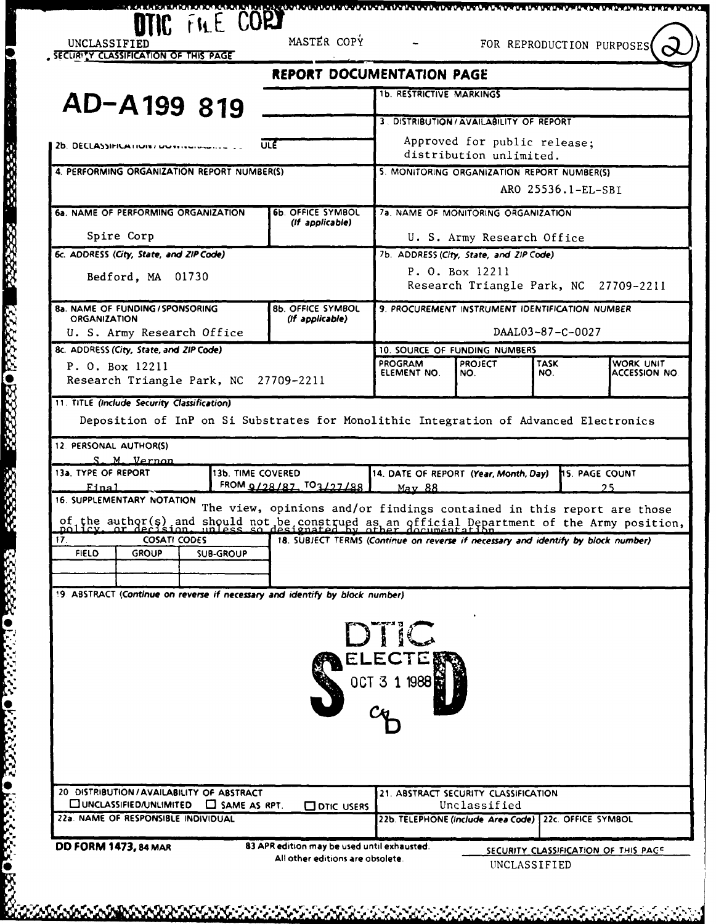|                 | <b>REPORT DOCUMENTATION PAGE</b>                                                                                                                                                                                                                                         |                                                                                                                 |                                                                                                   |                                                                                                                                                            |                                                                                                                                                                                                                                                                                                                                                                                                                                                                                                                                                                                                                                                                                                                                                                                                              |
|-----------------|--------------------------------------------------------------------------------------------------------------------------------------------------------------------------------------------------------------------------------------------------------------------------|-----------------------------------------------------------------------------------------------------------------|---------------------------------------------------------------------------------------------------|------------------------------------------------------------------------------------------------------------------------------------------------------------|--------------------------------------------------------------------------------------------------------------------------------------------------------------------------------------------------------------------------------------------------------------------------------------------------------------------------------------------------------------------------------------------------------------------------------------------------------------------------------------------------------------------------------------------------------------------------------------------------------------------------------------------------------------------------------------------------------------------------------------------------------------------------------------------------------------|
|                 |                                                                                                                                                                                                                                                                          |                                                                                                                 |                                                                                                   |                                                                                                                                                            |                                                                                                                                                                                                                                                                                                                                                                                                                                                                                                                                                                                                                                                                                                                                                                                                              |
|                 |                                                                                                                                                                                                                                                                          |                                                                                                                 |                                                                                                   |                                                                                                                                                            |                                                                                                                                                                                                                                                                                                                                                                                                                                                                                                                                                                                                                                                                                                                                                                                                              |
|                 |                                                                                                                                                                                                                                                                          |                                                                                                                 |                                                                                                   |                                                                                                                                                            |                                                                                                                                                                                                                                                                                                                                                                                                                                                                                                                                                                                                                                                                                                                                                                                                              |
|                 |                                                                                                                                                                                                                                                                          |                                                                                                                 |                                                                                                   |                                                                                                                                                            |                                                                                                                                                                                                                                                                                                                                                                                                                                                                                                                                                                                                                                                                                                                                                                                                              |
|                 |                                                                                                                                                                                                                                                                          |                                                                                                                 |                                                                                                   |                                                                                                                                                            |                                                                                                                                                                                                                                                                                                                                                                                                                                                                                                                                                                                                                                                                                                                                                                                                              |
|                 |                                                                                                                                                                                                                                                                          |                                                                                                                 |                                                                                                   |                                                                                                                                                            |                                                                                                                                                                                                                                                                                                                                                                                                                                                                                                                                                                                                                                                                                                                                                                                                              |
| (If applicable) |                                                                                                                                                                                                                                                                          |                                                                                                                 |                                                                                                   |                                                                                                                                                            |                                                                                                                                                                                                                                                                                                                                                                                                                                                                                                                                                                                                                                                                                                                                                                                                              |
|                 |                                                                                                                                                                                                                                                                          |                                                                                                                 |                                                                                                   |                                                                                                                                                            |                                                                                                                                                                                                                                                                                                                                                                                                                                                                                                                                                                                                                                                                                                                                                                                                              |
|                 |                                                                                                                                                                                                                                                                          |                                                                                                                 |                                                                                                   |                                                                                                                                                            |                                                                                                                                                                                                                                                                                                                                                                                                                                                                                                                                                                                                                                                                                                                                                                                                              |
|                 |                                                                                                                                                                                                                                                                          |                                                                                                                 |                                                                                                   |                                                                                                                                                            |                                                                                                                                                                                                                                                                                                                                                                                                                                                                                                                                                                                                                                                                                                                                                                                                              |
|                 |                                                                                                                                                                                                                                                                          |                                                                                                                 |                                                                                                   |                                                                                                                                                            |                                                                                                                                                                                                                                                                                                                                                                                                                                                                                                                                                                                                                                                                                                                                                                                                              |
| (If applicable) |                                                                                                                                                                                                                                                                          |                                                                                                                 |                                                                                                   |                                                                                                                                                            |                                                                                                                                                                                                                                                                                                                                                                                                                                                                                                                                                                                                                                                                                                                                                                                                              |
|                 |                                                                                                                                                                                                                                                                          |                                                                                                                 |                                                                                                   |                                                                                                                                                            |                                                                                                                                                                                                                                                                                                                                                                                                                                                                                                                                                                                                                                                                                                                                                                                                              |
|                 |                                                                                                                                                                                                                                                                          |                                                                                                                 |                                                                                                   |                                                                                                                                                            | WORK UNIT                                                                                                                                                                                                                                                                                                                                                                                                                                                                                                                                                                                                                                                                                                                                                                                                    |
|                 | ELEMENT NO.                                                                                                                                                                                                                                                              | NO.                                                                                                             | NO.                                                                                               |                                                                                                                                                            | <b>ACCESSION NO.</b>                                                                                                                                                                                                                                                                                                                                                                                                                                                                                                                                                                                                                                                                                                                                                                                         |
|                 |                                                                                                                                                                                                                                                                          |                                                                                                                 |                                                                                                   |                                                                                                                                                            |                                                                                                                                                                                                                                                                                                                                                                                                                                                                                                                                                                                                                                                                                                                                                                                                              |
|                 |                                                                                                                                                                                                                                                                          |                                                                                                                 |                                                                                                   |                                                                                                                                                            |                                                                                                                                                                                                                                                                                                                                                                                                                                                                                                                                                                                                                                                                                                                                                                                                              |
|                 |                                                                                                                                                                                                                                                                          |                                                                                                                 |                                                                                                   |                                                                                                                                                            |                                                                                                                                                                                                                                                                                                                                                                                                                                                                                                                                                                                                                                                                                                                                                                                                              |
|                 |                                                                                                                                                                                                                                                                          |                                                                                                                 |                                                                                                   |                                                                                                                                                            |                                                                                                                                                                                                                                                                                                                                                                                                                                                                                                                                                                                                                                                                                                                                                                                                              |
|                 |                                                                                                                                                                                                                                                                          |                                                                                                                 |                                                                                                   |                                                                                                                                                            |                                                                                                                                                                                                                                                                                                                                                                                                                                                                                                                                                                                                                                                                                                                                                                                                              |
|                 | May 88                                                                                                                                                                                                                                                                   |                                                                                                                 |                                                                                                   |                                                                                                                                                            |                                                                                                                                                                                                                                                                                                                                                                                                                                                                                                                                                                                                                                                                                                                                                                                                              |
|                 |                                                                                                                                                                                                                                                                          |                                                                                                                 |                                                                                                   |                                                                                                                                                            |                                                                                                                                                                                                                                                                                                                                                                                                                                                                                                                                                                                                                                                                                                                                                                                                              |
|                 |                                                                                                                                                                                                                                                                          |                                                                                                                 |                                                                                                   |                                                                                                                                                            |                                                                                                                                                                                                                                                                                                                                                                                                                                                                                                                                                                                                                                                                                                                                                                                                              |
|                 |                                                                                                                                                                                                                                                                          |                                                                                                                 |                                                                                                   |                                                                                                                                                            |                                                                                                                                                                                                                                                                                                                                                                                                                                                                                                                                                                                                                                                                                                                                                                                                              |
|                 |                                                                                                                                                                                                                                                                          |                                                                                                                 |                                                                                                   |                                                                                                                                                            |                                                                                                                                                                                                                                                                                                                                                                                                                                                                                                                                                                                                                                                                                                                                                                                                              |
|                 |                                                                                                                                                                                                                                                                          |                                                                                                                 |                                                                                                   |                                                                                                                                                            |                                                                                                                                                                                                                                                                                                                                                                                                                                                                                                                                                                                                                                                                                                                                                                                                              |
|                 |                                                                                                                                                                                                                                                                          |                                                                                                                 |                                                                                                   |                                                                                                                                                            |                                                                                                                                                                                                                                                                                                                                                                                                                                                                                                                                                                                                                                                                                                                                                                                                              |
|                 |                                                                                                                                                                                                                                                                          |                                                                                                                 |                                                                                                   |                                                                                                                                                            |                                                                                                                                                                                                                                                                                                                                                                                                                                                                                                                                                                                                                                                                                                                                                                                                              |
|                 |                                                                                                                                                                                                                                                                          |                                                                                                                 |                                                                                                   |                                                                                                                                                            |                                                                                                                                                                                                                                                                                                                                                                                                                                                                                                                                                                                                                                                                                                                                                                                                              |
|                 |                                                                                                                                                                                                                                                                          |                                                                                                                 |                                                                                                   |                                                                                                                                                            |                                                                                                                                                                                                                                                                                                                                                                                                                                                                                                                                                                                                                                                                                                                                                                                                              |
|                 |                                                                                                                                                                                                                                                                          |                                                                                                                 |                                                                                                   |                                                                                                                                                            |                                                                                                                                                                                                                                                                                                                                                                                                                                                                                                                                                                                                                                                                                                                                                                                                              |
|                 |                                                                                                                                                                                                                                                                          |                                                                                                                 |                                                                                                   |                                                                                                                                                            |                                                                                                                                                                                                                                                                                                                                                                                                                                                                                                                                                                                                                                                                                                                                                                                                              |
|                 |                                                                                                                                                                                                                                                                          |                                                                                                                 |                                                                                                   |                                                                                                                                                            |                                                                                                                                                                                                                                                                                                                                                                                                                                                                                                                                                                                                                                                                                                                                                                                                              |
|                 |                                                                                                                                                                                                                                                                          |                                                                                                                 |                                                                                                   |                                                                                                                                                            |                                                                                                                                                                                                                                                                                                                                                                                                                                                                                                                                                                                                                                                                                                                                                                                                              |
|                 |                                                                                                                                                                                                                                                                          |                                                                                                                 |                                                                                                   |                                                                                                                                                            |                                                                                                                                                                                                                                                                                                                                                                                                                                                                                                                                                                                                                                                                                                                                                                                                              |
|                 |                                                                                                                                                                                                                                                                          |                                                                                                                 |                                                                                                   |                                                                                                                                                            |                                                                                                                                                                                                                                                                                                                                                                                                                                                                                                                                                                                                                                                                                                                                                                                                              |
| O DTIC USERS    |                                                                                                                                                                                                                                                                          |                                                                                                                 |                                                                                                   |                                                                                                                                                            |                                                                                                                                                                                                                                                                                                                                                                                                                                                                                                                                                                                                                                                                                                                                                                                                              |
|                 |                                                                                                                                                                                                                                                                          |                                                                                                                 |                                                                                                   |                                                                                                                                                            |                                                                                                                                                                                                                                                                                                                                                                                                                                                                                                                                                                                                                                                                                                                                                                                                              |
|                 |                                                                                                                                                                                                                                                                          |                                                                                                                 |                                                                                                   |                                                                                                                                                            |                                                                                                                                                                                                                                                                                                                                                                                                                                                                                                                                                                                                                                                                                                                                                                                                              |
|                 | ULE<br>4. PERFORMING ORGANIZATION REPORT NUMBER(S)<br>6b. OFFICE SYMBOL<br><b>8b. OFFICE SYMBOL</b><br>Research Triangle Park, NC 27709-2211<br>13b. TIME COVERED<br>FROM $Q/28/87$ , $TQ$ $127/88$<br>20 DISTRIBUTION / AVAILABILITY OF ABSTRACT<br>$\Box$ SAME AS RPT. | PROGRAM<br>19. ABSTRACT (Continue on reverse if necessary and identify by block number)<br>DTIC<br>OCT 3 1 1988 | <b>1b. RESTRICTIVE MARKINGS</b><br>P. O. Box 12211<br><b>PROJECT</b><br>يمهشنيهمه<br>Unclassified | distribution unlimited.<br>7b. ADDRESS (City, State, and ZIP Code)<br>10. SOURCE OF FUNDING NUMBERS<br><b>TASK</b><br>21. ABSTRACT SECURITY CLASSIFICATION | 3. DISTRIBUTION / AVAILABILITY OF REPORT<br>Approved for public release:<br>5. MONITORING ORGANIZATION REPORT NUMBER(S)<br>ARO 25536.1-EL-SBI<br>7a. NAME OF MONITORING ORGANIZATION<br>U. S. Army Research Office<br>Research Triangle Park, NC 27709-2211<br>9. PROCUREMENT INSTRUMENT IDENTIFICATION NUMBER<br>DAAL03-87-C-0027<br>Deposition of InP on Si Substrates for Monolithic Integration of Advanced Electronics<br>14. DATE OF REPORT (Year, Month, Day) 15. PAGE COUNT<br>The view, opinions and/or findings contained in this report are those<br>of the author(s) and should not be construed as an official Department of the Army position,<br>18. SUBJECT TERMS (Continue on reverse if necessary and identify by block number)<br>22b. TELEPHONE (include Area Code)   22c. OFFICE SYMBOL |

333

3323 OL

ANA OLANAN ORANGAN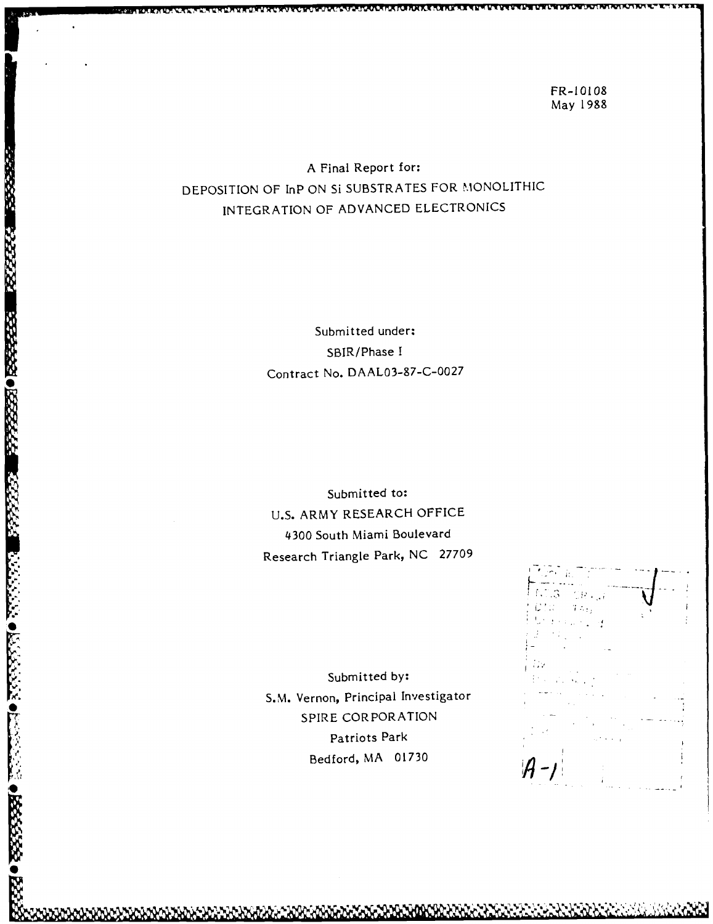FR-10108 May 1988

A Final Report for: DEPOSITION OF InP ON SI SUBSTRATES FOR MONOLITHIC INTEGRATION OF ADVANCED ELECTRONICS

> Submitted under: SBIR/Phase I Contract No. DAAL03-87-C-0027

Submitted to: U.S. ARMY RESEARCH OFFICE 4300 South Miami Boulevard Research Triangle Park, NC 27709

Submitted **by::** *,* S.M. Vernon, Principal Investigator SPIRE CORPORATION Patriots Park Bedford, MA 01730

**SSSSSS** 

**PARAMER PRESERVE REPORT OF PARAMER PROPERTY OF PARAMER** 

**U- I;,**  $A - 1$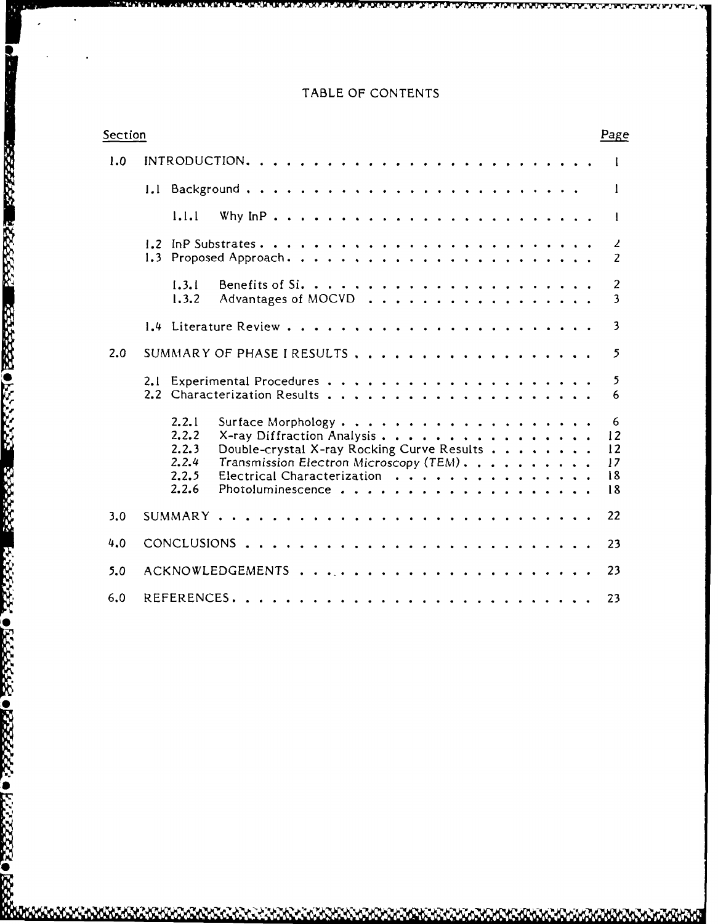# TABLE OF **CONTENTS**

T.

**BEEFALL REPORTS TO PROPERTY AND REPORTS** 

2222223

KATAN DELEKSE ORBEKA OLIKERE O

**Reada** 

| Section | Page                                                                                                                                                                                                                                             |
|---------|--------------------------------------------------------------------------------------------------------------------------------------------------------------------------------------------------------------------------------------------------|
| 1.0     | $\perp$                                                                                                                                                                                                                                          |
|         | $\mathbf{1}$                                                                                                                                                                                                                                     |
|         | 1.1.1<br>$\mathbf{I}$                                                                                                                                                                                                                            |
|         | $\mathbf{z}$<br>$\overline{2}$                                                                                                                                                                                                                   |
|         | 1.3.1<br>2<br>$\overline{\mathbf{3}}$<br>1.3.2<br>Advantages of MOCVD                                                                                                                                                                            |
|         | $\overline{\mathbf{3}}$                                                                                                                                                                                                                          |
| 2.0     | $5\overline{)}$<br>SUMMARY OF PHASE I RESULTS ,                                                                                                                                                                                                  |
|         | 5<br>$6\overline{6}$                                                                                                                                                                                                                             |
|         | 2, 2, 1<br>6<br>2.2.2<br>12<br>X-ray Diffraction Analysis<br>2, 2, 3<br>Double-crystal X-ray Rocking Curve Results<br>12<br>2.2.4<br>Transmission Electron Microscopy (TEM).<br>17<br>2.2.5<br>Electrical Characterization<br>18<br>2, 2.6<br>18 |
| 3.0     | 22                                                                                                                                                                                                                                               |
| 4.0     | 23                                                                                                                                                                                                                                               |
| 5.0     | 23                                                                                                                                                                                                                                               |
| 6.0     | 23                                                                                                                                                                                                                                               |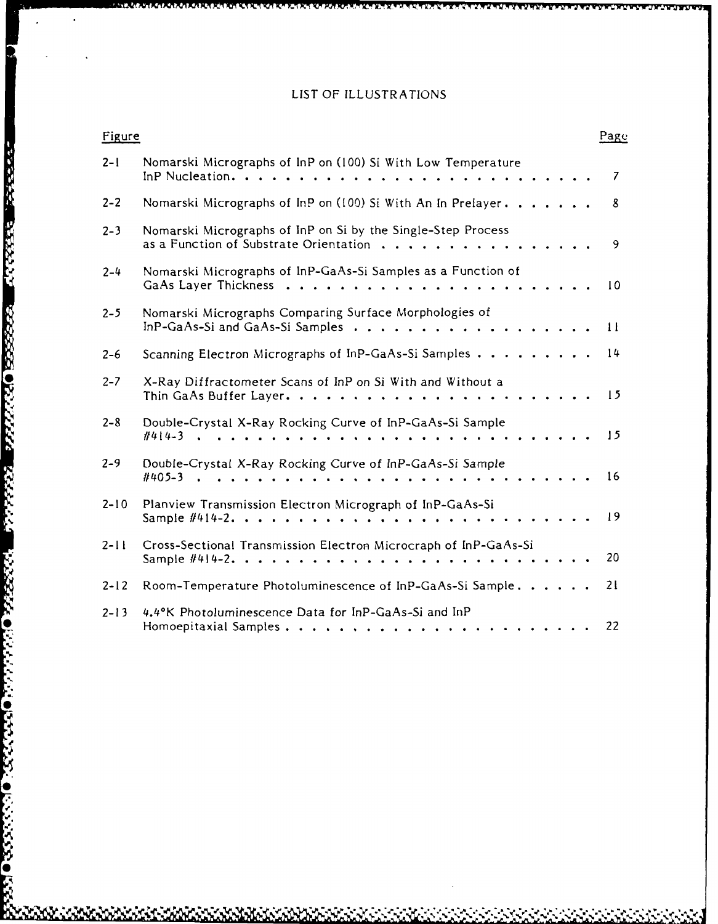# **LIST** OF **ILLUSTRATIONS**

| Figure   |                                                                                                                   | Page            |
|----------|-------------------------------------------------------------------------------------------------------------------|-----------------|
| $2 - 1$  | Nomarski Micrographs of InP on (100) Si With Low Temperature                                                      | 7               |
| $2 - 2$  | Nomarski Micrographs of InP on (100) Si With An In Prelayer.                                                      | 8               |
| $2 - 3$  | Nomarski Micrographs of InP on Si by the Single-Step Process<br>as a Function of Substrate Orientation $\ldots$ , | 9               |
| $2 - 4$  | Nomarski Micrographs of InP-GaAs-Si Samples as a Function of                                                      | 10 <sup>°</sup> |
| $2 - 5$  | Nomarski Micrographs Comparing Surface Morphologies of<br>In P-GaAs-Si and GaAs-Si Samples $\ldots$ ,             | $\mathbf{H}$    |
| $2 - 6$  | Scanning Electron Micrographs of InP-GaAs-Si Samples                                                              | 14              |
| $2 - 7$  | X-Ray Diffractometer Scans of InP on Si With and Without a                                                        | $\sqrt{5}$      |
| $2 - 8$  | Double-Crystal X-Ray Rocking Curve of InP-GaAs-Si Sample                                                          | 15              |
| $2 - 9$  | Double-Crystal X-Ray Rocking Curve of InP-GaAs-Si Sample                                                          | 16              |
| $2 - 10$ | Planview Transmission Electron Micrograph of InP-GaAs-Si                                                          | 19              |
| $2 - 11$ | Cross-Sectional Transmission Electron Microcraph of InP-GaAs-Si<br>Sample $#414-2$ ,                              | 20              |
| $2 - 12$ | Room-Temperature Photoluminescence of InP-GaAs-Si Sample.                                                         | 21              |
| $2 - 13$ | 4.4°K Photoluminescence Data for InP-GaAs-Si and InP                                                              | 22              |

**0ll 10ll 10ll 10ll 10ll 10ll** 

122220

5335

**AMANAMARKAN** 

**PARTICULAR DESESSED DE PARTIES** 

2333422

2222222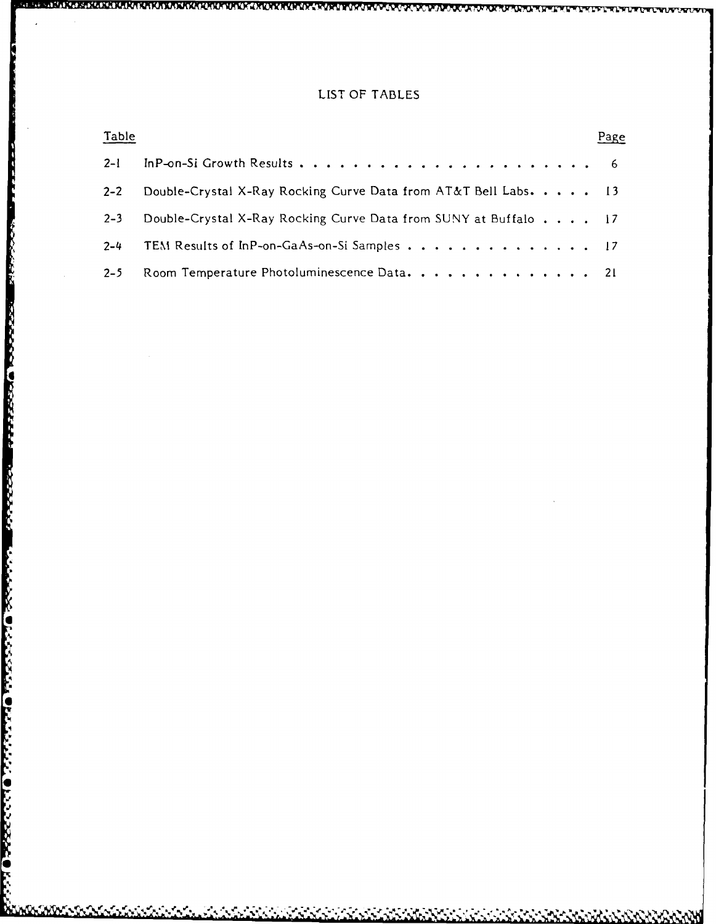## LIST OF **TABLES**

| Table   |                                                                 | Page |
|---------|-----------------------------------------------------------------|------|
| $2 - 1$ |                                                                 |      |
| $2 - 2$ | Double-Crystal X-Ray Rocking Curve Data from AT&T Bell Labs. 13 |      |
| $2 - 3$ | Double-Crystal X-Ray Rocking Curve Data from SUNY at Buffalo 17 |      |
| $2 - 4$ | TEM Results of InP-on-GaAs-on-Si Samples 17                     |      |
| $2 - 5$ | Room Temperature Photoluminescence Data. 21                     |      |

4

 $\mathcal{T}_{\mathbf{q},\mathbf{q}}$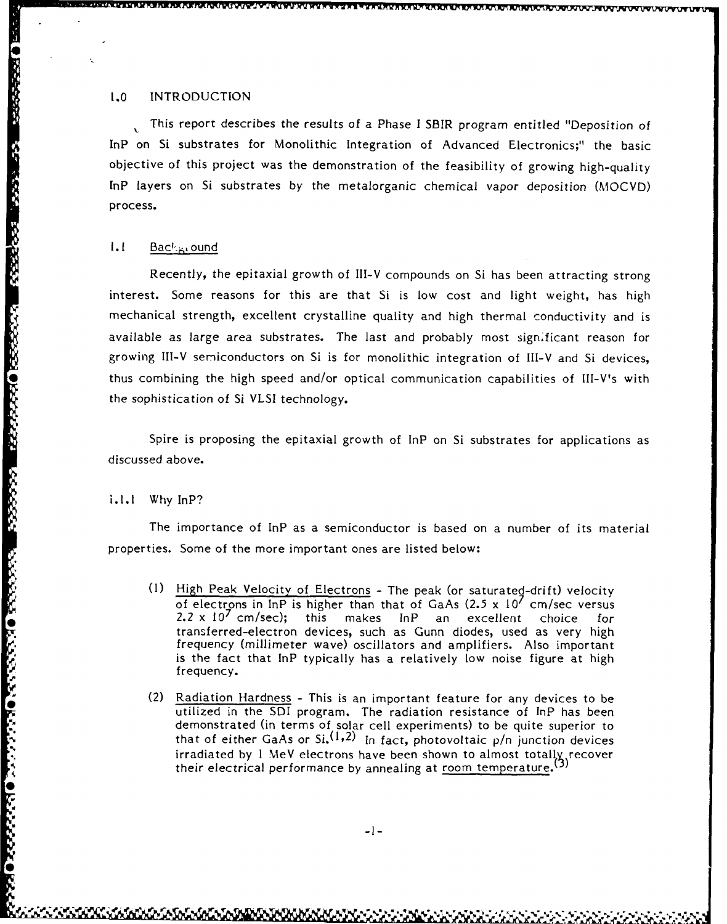### 1.0 INTRODUCTION

This report describes the results of a Phase I SBIR program entitled "Deposition of InP on Si substrates for Monolithic Integration of Advanced Electronics;" the basic objective of this project was the demonstration of the feasibility of growing high-quality InP layers on Si substrates by the metalorganic chemical vapor deposition (MOCVD) process.

#### 1.1 Back<sub>Br</sub>ound

Recently, the epitaxial growth of Ill-V compounds on Si has been attracting strong interest. Some reasons for this are that Si is low cost and light weight, has high mechanical strength, excellent crystalline quality and high thermal conductivity and is available as large area substrates. The last and probably most sign.ficant reason for growing Ill-V semiconductors on Si is for monolithic integration of Ill-V and Si devices, thus combining the high speed and/or optical communication capabilities of III-V's with the sophistication of Si VLSI technology.

Spire is proposing the epitaxial growth of lnP on Si substrates for applications as discussed above.

i.l.l Why InP?

**0**

The importance of InP as a semiconductor is based on a number of its material properties. Some of the more important ones are listed below:

- **(1)** High Peak Velocity of Electrons The peak (or saturated-drift) velocity of electrons in InP is higher than that of GaAs  $(2.5 \times 10^7 \text{ cm/sec}$  versus 2.2 x **10<sup>7</sup>**cm/sec); this makes InP an excellent choice for transferred-electron devices, such as Gunn diodes, used as very high frequency (millimeter wave) oscillators and amplifiers. Also important is the fact that InP typically has a relatively low noise figure at high frequency.
- (2) Radiation Hardness This is an important feature for any devices to be utilized in the SDI program. The radiation resistance of InP has been demonstrated (in terms of solar cell experiments) to be quite superior to that of either GaAs or  $Si^{(1,2)}$  In fact, photovoltaic  $p/n$  junction devices irradiated by 1 MeV electrons have been shown to almost totally recover their electrical performance by annealing at room temperature. $\langle$ <sup>5)</sup>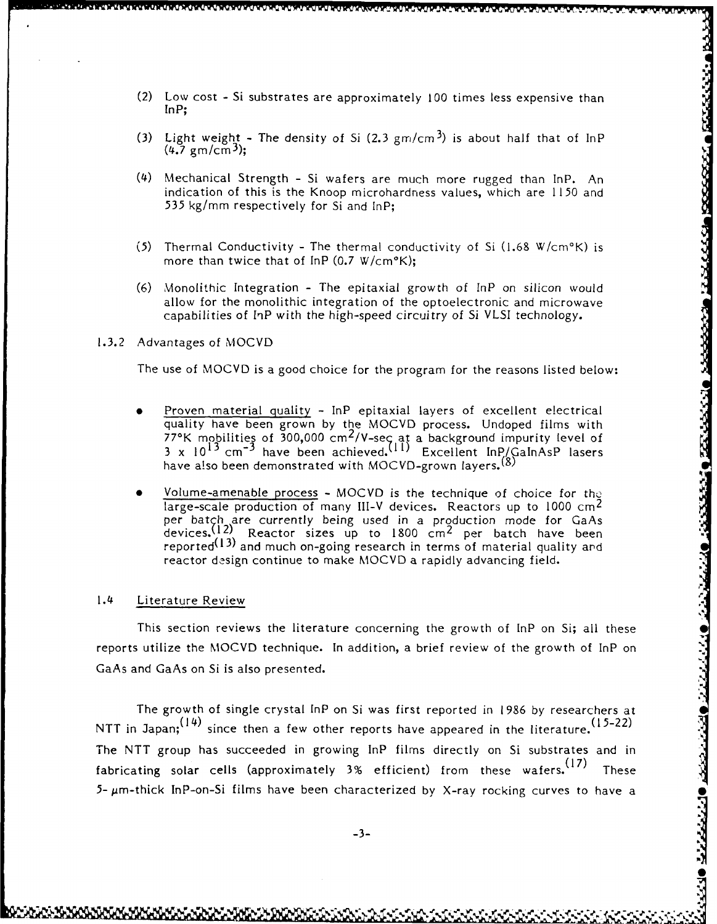- ක්රම වන්නයක් වන්නෙක් වෙන්න කර ගෙන්නක් මහත්තියක් වන්න කිරීම වන්න වන්න කර ගත්තිය වන්න කර වන්න කර වන්න වෙන්න වෙන්
- (2) Low cost Si substrates are approximately **100** times less expensive than InP;
- (3) Light weight The density of Si  $(2.3 \text{ gm/cm}^3)$  is about half that of InP  $(4.7 \text{ gm/cm}^3);$
- (4) Mechanical Strength Si wafers are much more rugged than InP. An indication of this is the Knoop microhardress values, which are 1150 and 535 kg/mm respectively for Si and lnP;
- (5) Thermal Conductivity The thermal conductivity of Si  $(1.68 \text{ W/cm}^{\circ}\text{K})$  is more than twice that of InP (0.7 W/cm°K);
- (6) Monolithic Integration The epitaxial growth of InP on silicon would allow for the monolithic integration of the optoelectronic and microwave capabilities of InP with the high-speed circuitry of Si VLSI technology.

#### 1.3.2 Advantages of MOCVD

The use of MOCVD is a good choice for the program for the reasons listed below:

- Proven material quality InP epitaxial layers of excellent electrical quality have been grown by the MOCVD process. Undoped films with  $77^{\circ}$ K mobilities of 300,000 cm<sup>2</sup>/V-sec at a background impurity level of 3 x 10<sup>13</sup> cm<sup>-3</sup> have been achieved.<sup>(11)</sup> Excellent InP/GaInAsP lasers have also been demonstrated with MOCVD-grown layers.<sup>(8)</sup>
- Volume-amenable process MOCVD is the technique of choice for the large-scale production of many III-V devices. Reactors up to 1000 cm<sup>2</sup> per batch are currently being used in a production mode for GaAs devices.<sup>(12)</sup> Reactor sizes up to  $1800 \text{ cm}^2$  per batch have been reported $^{\textrm{\textbf{(13)}}}$  and much on-going research in terms of material quality and reactor design continue to make MOCVD a rapidly advancing field.

#### 1.4 Literature Review

This section reviews the literature concerning the growth of lnP on Si; all these reports utilize the MOCVD technique. In addition, a brief review of the growth of InP on GaAs and GaAs on Si is also presented.

The growth of single crystal InP on Si was first reported in 1986 by researchers at NTT in Japan;  $(14)$  since then a few other reports have appeared in the literature.  $(15-22)$ The NTT group has succeeded in growing InP films directly on Si substrates and in fabricating solar cells (approximately 3% efficient) from these wafers.<sup>(17)</sup> These  $5$ -  $\mu$ m-thick InP-on-Si films have been characterized by X-ray rocking curves to have a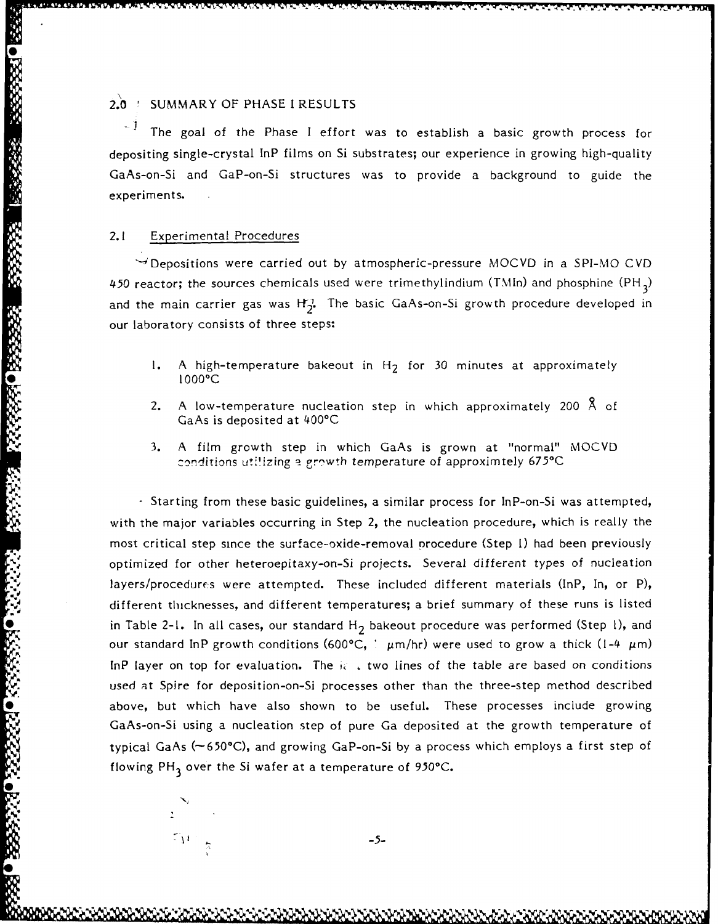# 2.0 SUMMARY OF PHASE I RESULTS

The goal of the Phase I effort was to establish a basic growth process for depositing single-crystal InP films on Si substrates; our experience in growing high-quality GaAs-on-Si and GaP-on-Si structures was to provide a background to guide the experiments.

#### 2.1 Experimental Procedures

 $\rightarrow$  Depositions were carried out by atmospheric-pressure MOCVD in a SPI-MO CVD 450 reactor; the sources chemicals used were trimethylindium (TMIn) and phosphine **(PH <sup>3</sup> )** and the main carrier gas was H<sub>2</sub><sup>2</sup>. The basic GaAs-on-Si growth procedure developed in our laboratory consists of three steps:

- 1. A high-temperature bakeout in H<sub>2</sub> for 30 minutes at approximately S1000C
- 2. A low-temperature nucleation step in which approximately 200  $\AA$  of GaAs is deposited at 400°C
- 3. A film growth step in which GaAs is grown at "normal" MOCVD conditions utilizing a growth temperature of approximtely 675<sup>o</sup>C

 $\cdot$  Starting from these basic guidelines, a similar process for InP-on-Si was attempted, with the major variables occurring in Step 2, the nucleation procedure, which is really the most critical step since the surface-oxide-removal procedure (Step **1)** had been previously optimized for other heteroepitaxy-on-Si projects. Several different types of nucleation layers/procedures were attempted. These included different materials (InP, In, or P), different thicknesses, and different temperatures; a brief summary of these runs is listed in Table 2-1. In all cases, our standard H<sub>2</sub> bakeout procedure was performed (Step 1), and our standard InP growth conditions (600°C,  $\mu$ m/hr) were used to grow a thick (1-4  $\mu$ m) InP layer on top for evaluation. The  $i\epsilon$ , two lines of the table are based on conditions used at Spire for deposition-on-Si processes other than the three-step method described above, but which have also shown to be useful. These processes include growing GaAs-on-Si using a nucleation step of pure Ga deposited at the growth temperature of typical GaAs  $(\sim 650^{\circ}C)$ , and growing GaP-on-Si by a process which employs a first step of flowing PH<sub>3</sub> over the Si wafer at a temperature of 950°C.

-5-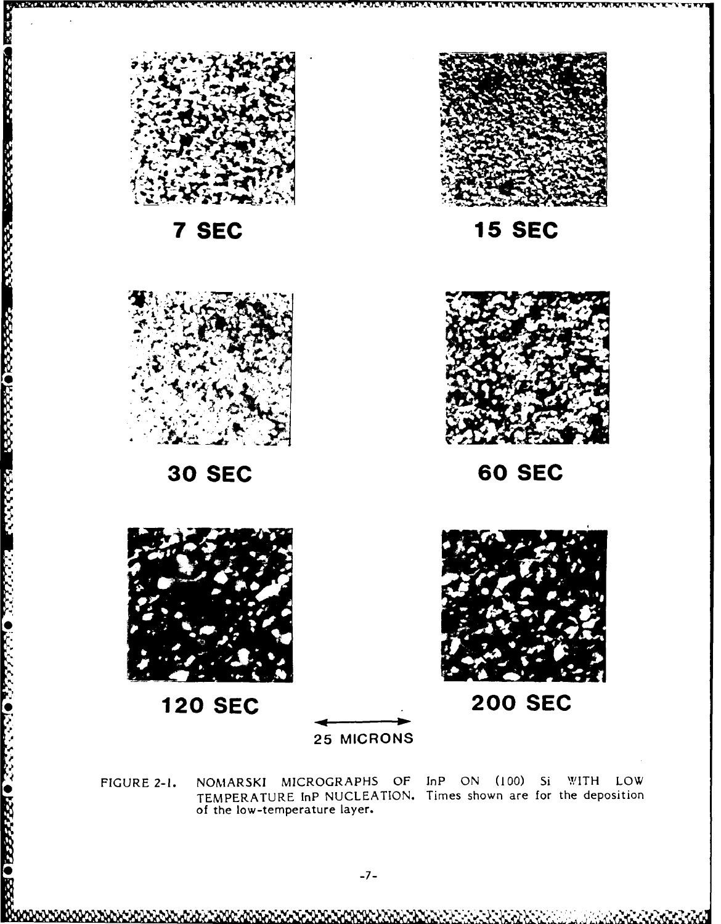

**30 SEC** 





**120 SEC** 



**200 SEC** 

**25 MICRONS** 

NOMARSKI MICROGRAPHS OF InP ON (100) Si WITH LOW FIGURE 2-1. TEMPERATURE InP NUCLEATION. Times shown are for the deposition of the low-temperature layer.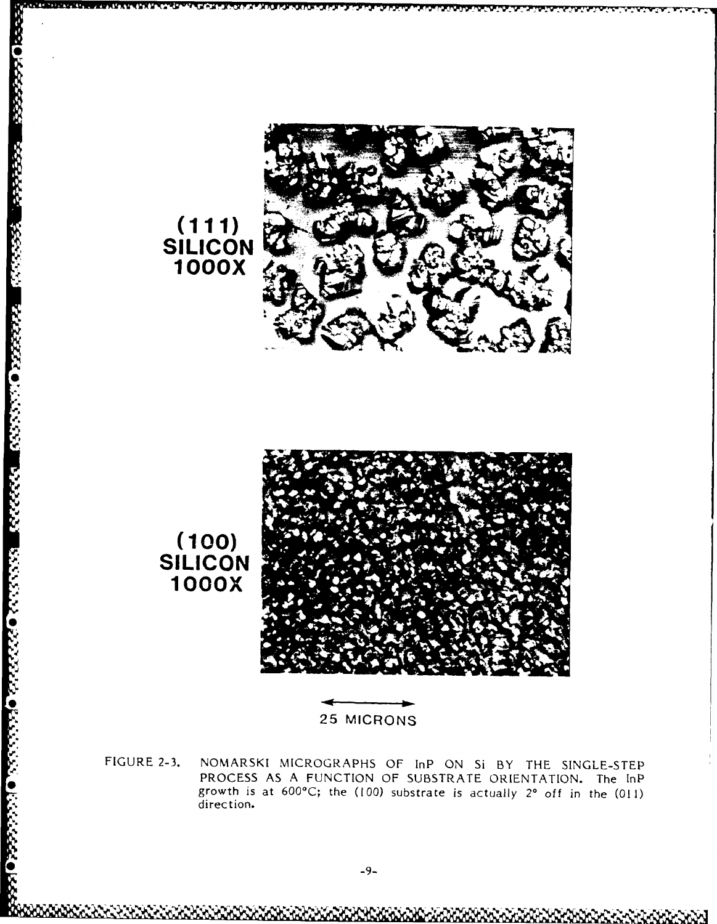

FIGURE 2-3. NOMARSKI MICROGRAPHS OF InP ON Si BY THE SINGLE-STEP PROCESS AS A FUNCTION OF SUBSTRATE ORIENTATION. The InP growth is at 600°C; the (100) substrate is actually 2° off in the (011) direction.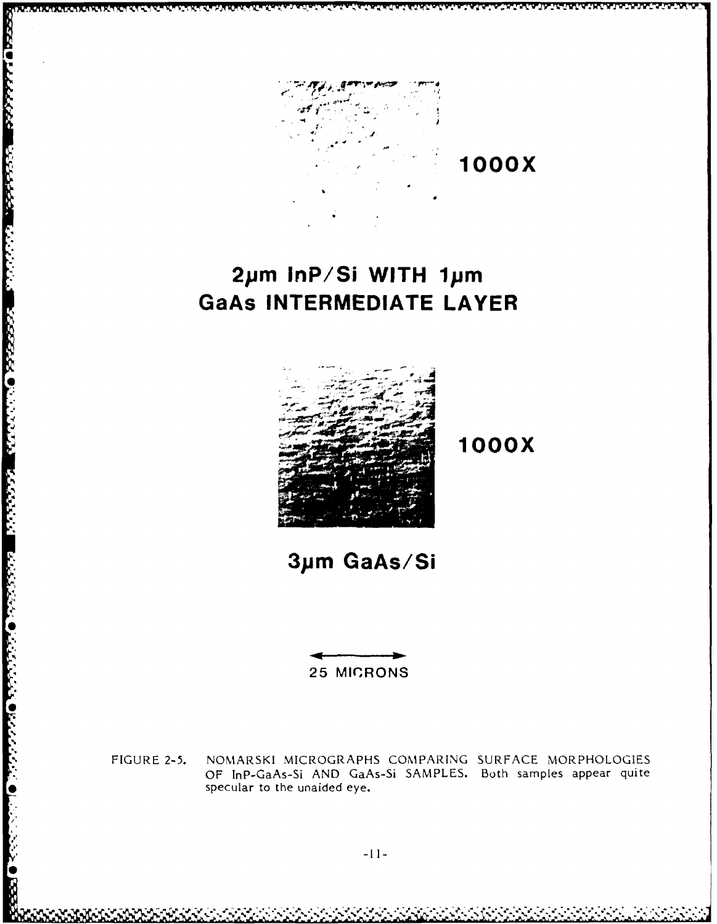

# 2µm InP/Si WITH 1µm **GaAs INTERMEDIATE LAYER**



**GEOLOGICALIS DE CONSISTE DE L'ANDI DE L'ANDI DE L'ANDI DE L'ANDI DE L'ANDI DE L'ANDI DE L'ANDI DE L'ANDI DE L'** 

**1000X** 

# 3µm GaAs/Si

**25 MICRONS** 

NOMARSKI MICROGRAPHS COMPARING SURFACE MORPHOLOGIES FIGURE 2-5. OF InP-GaAs-Si AND GaAs-Si SAMPLES. Both samples appear quite specular to the unaided eye.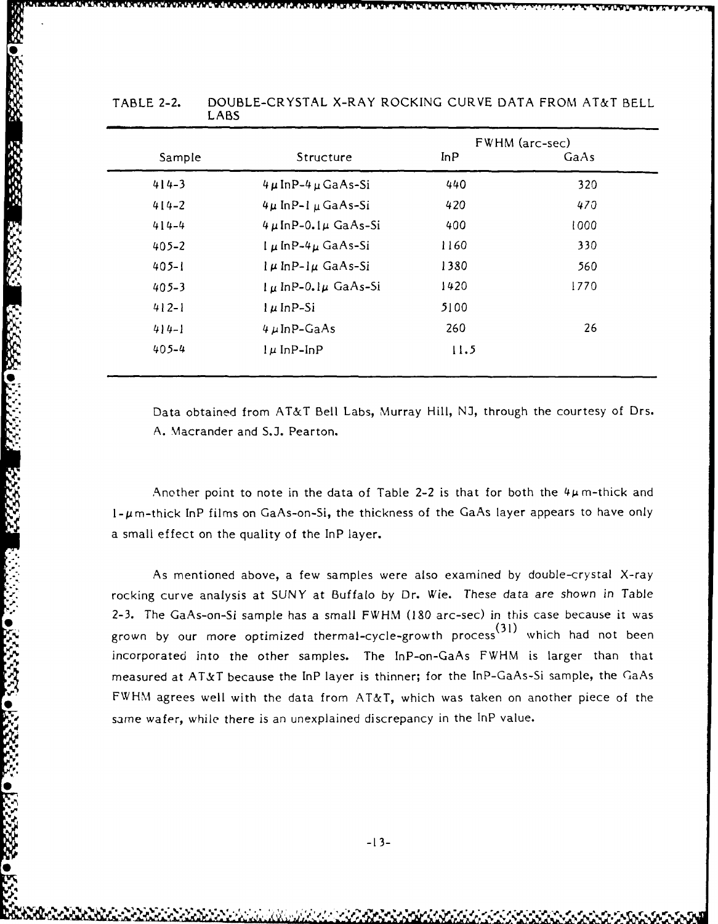|           |                               |      | FWHM (arc-sec) |
|-----------|-------------------------------|------|----------------|
| Sample    | Structure                     | InP  | GaAs           |
| $414 - 3$ | $4 \mu$ InP- $4 \mu$ GaAs-Si  | 440  | 320            |
| $414 - 2$ | $4\mu$ InP-1 $\mu$ GaAs-Si    | 420  | 470            |
| $414 - 4$ | $4 \mu$ InP-0.1 $\mu$ GaAs-Si | 400  | 1000           |
| $405 - 2$ | $\mu$ In P-4 $\mu$ GaAs-Si    | 1160 | 330            |
| $405 - 1$ | $l \mu$ InP- $l \mu$ GaAs-Si  | 1380 | 560            |
| $405 - 3$ | $l \mu$ InP-0.1 $\mu$ GaAs-Si | 1420 | 1770           |
| $412 - 1$ | $l$ $\mu$ InP-Si              | 5100 |                |
| $4 4-1$   | $4 \mu$ InP-GaAs              | 260  | 26             |
| $405 - 4$ | $l \mu$ InP-InP               | 11.5 |                |

#### TABLE 2-2. DOUBLE-CRYSTAL X-RAY ROCKING CURVE DATA FROM AT&T BELL LABS

Mi **TViI.U~** Wvvvrrv

Data obtained from AT&T Bell Labs, Murray Hill, NJ, through the courtesy of Drs. A. Macrander and S.J. Pearton.

Another point to note in the data of Table 2-2 is that for both the  $4\mu$ m-thick and  $1-\mu$ m-thick InP films on GaAs-on-Si, the thickness of the GaAs layer appears to have only a small effect on the quality of the InP layer.

As mentioned above, a few samples were also examined by double-crystal X-ray rocking curve analysis at SUNY at Buffalo by Dr. Wie. These data are shown in Table 2-3. The GaAs-on-Si sample has a small FWHM **(180** arc-sec) in this case because it was grown by our more optimized thermal-cycle-growth process(31) which had not been incorporated into the other samples. The InP-on-GaAs FWHM is larger than that measured at AT&T because the InP layer is thinner; for the InP-GaAs-Si sample, the GaAs FWHM agrees well with the data from AT&T, which was taken on another piece of the same wafer, while there is an unexplained discrepancy in the InP value.

**0:**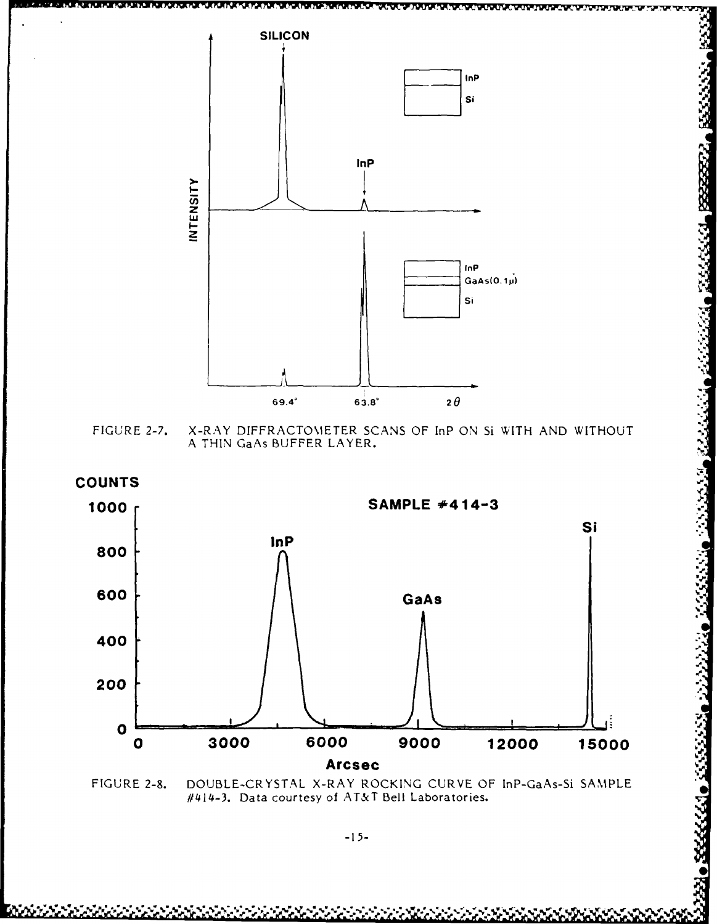

X-RAY DIFFRACTOMETER SCANS OF InP ON SI WITH AND WITHOUT FIGURE 2-7. A THIN GaAs BUFFER LAYER.



FIGURE 2-8. DOUBLE-CRYSTAL X-RAY ROCKING CURVE OF InP-GaAs-Si SAMPLE #414-3. Data courtesy of AT&T Bell Laboratories.

655555

833337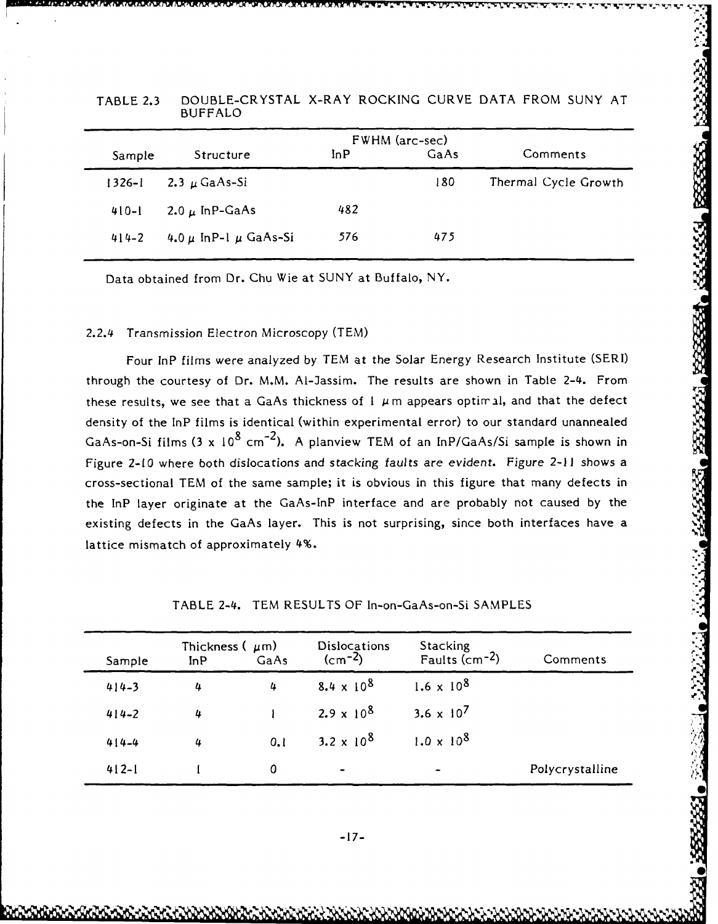|            |                               | FWHM (arc-sec) |      |                      |
|------------|-------------------------------|----------------|------|----------------------|
| Sample     | Structure                     | InP            | GaAs | Comments             |
| $1326 - 1$ | 2.3 $\mu$ GaAs-Si             |                | 180  | Thermal Cycle Growth |
| $410 - 1$  | 2.0 $\mu$ InP-GaAs            | 482            |      |                      |
| $414 - 2$  | 4.0 $\mu$ InP-1 $\mu$ GaAs-Si | 576            | 475  |                      |

TABLE **2.3** DOUBLE-CRYSTAL X-RAY ROCKING CURVE DATA FROM SUNY AT BUFFALO

Data obtained from Dr. Chu Wie at SUNY at Buffalo, NY.

#### 2.2.4 Transmission Electron Microscopy (TEM)

Four InP films were analyzed by TEM at the Solar Energy Research Institute (SERI) through the courtesy of Dr. M.M. AI-Jassim. The results are shown in Table 2-4. From these results, we see that a GaAs thickness of  $I \mu$ m appears optimal, and that the defect density of the InP films is identical (within experimental error) to our standard unannealed GaAs-on-Si films  $(3 \times 10^8 \text{ cm}^{-2})$ . A planview TEM of an InP/GaAs/Si sample is shown in Figure 2-10 where both dislocations and stacking faults are evident. Figure 2-1l shows a cross-sectional TEM of the same sample; it is obvious in this figure that many defects in the InP layer originate at the GaAs-InP interface and are probably not caused by the existing defects in the GaAs layer. This is not surprising, since both interfaces have a lattice mismatch of approximately 4%.

| Sample    | Thickness $(\mu m)$<br>InP | GaAs | Dislocations<br>$(cm-2)$ | Stacking<br>Faults ( $cm-2$ ) | Comments        |
|-----------|----------------------------|------|--------------------------|-------------------------------|-----------------|
| $414 - 3$ | 4                          | 4    | $8.4 \times 10^{8}$      | $1.6 \times 10^{8}$           |                 |
| $414 - 2$ | 4                          |      | $2.9 \times 10^{8}$      | 3.6 $\times$ 10 <sup>7</sup>  |                 |
| $414 - 4$ | 4                          | 0.1  | 3.2 x $10^{8}$           | $1.0 \times 10^{8}$           |                 |
| $412 - 1$ |                            | 0    | $\blacksquare$           | $\bullet$                     | Polycrystalline |

TABLE 2-4. TEM RESULTS OF In-on-GaAs-on-Si SAMPLES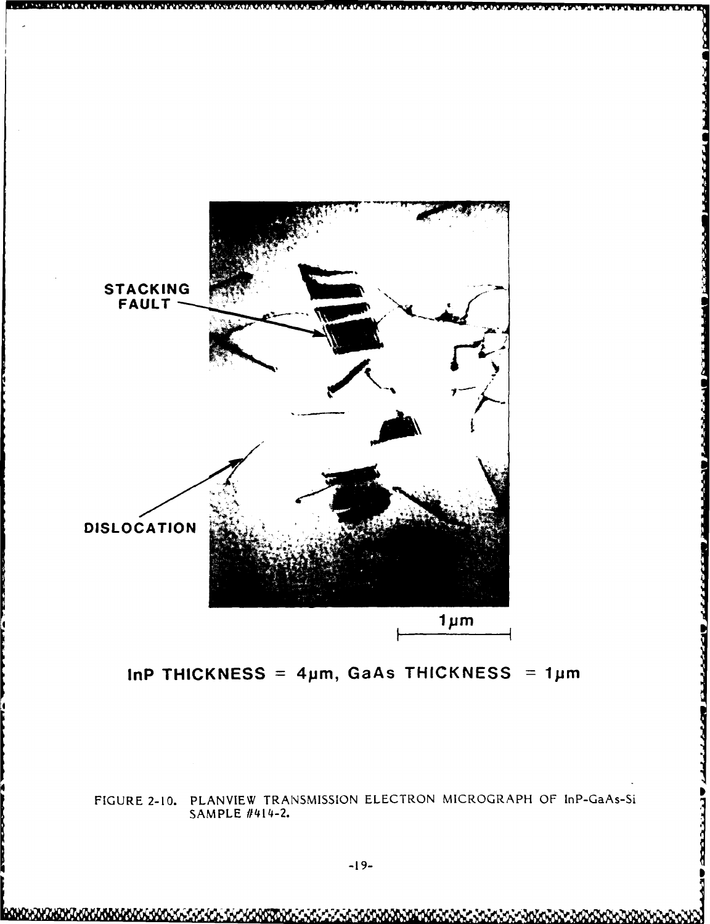

InP THICKNESS =  $4\mu$ m, GaAs THICKNESS =  $1\mu$ m

FIGURE 2-10. PLANVIEW TRANSMISSION ELECTRON MICROGRAPH OF InP-GaAs-Si SAMPLE #414-2.

**ACCESS**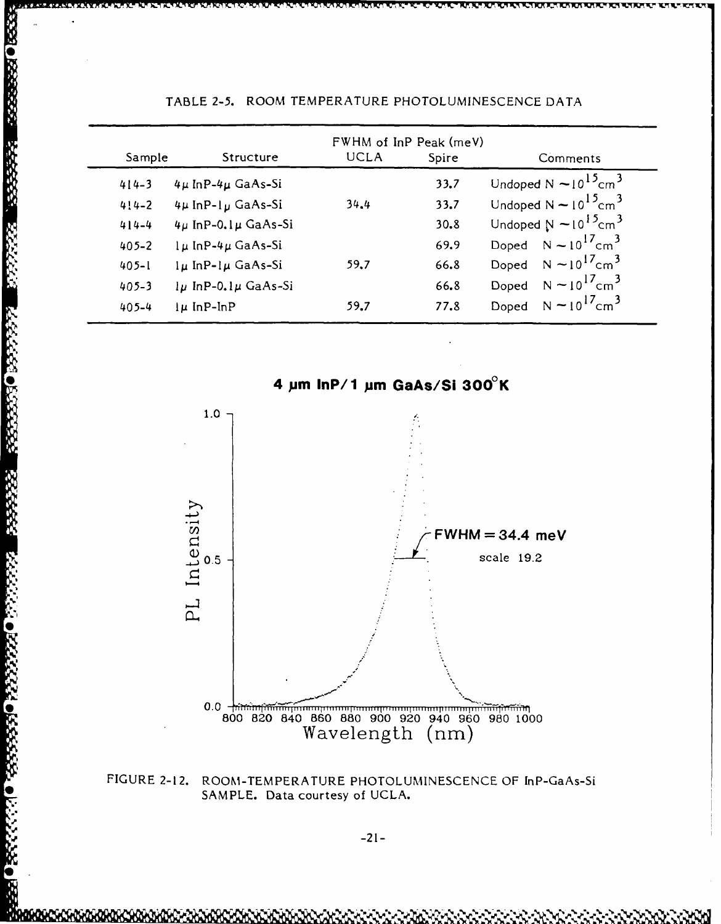|           |                              | FWHM of InP Peak (meV) |       |                                           |
|-----------|------------------------------|------------------------|-------|-------------------------------------------|
| Sample    | Structure                    | <b>UCLA</b>            | Spire | Comments                                  |
| $414 - 3$ | $4\mu$ InP- $4\mu$ GaAs-Si   |                        | 33.7  | Undoped N $\sim 10^{15}$ cm <sup>3</sup>  |
| $4!4-2$   | 4µ InP-1µ GaAs-Si            | 34.4                   | 33.7  | Undoped $N \sim 10^{15}$ cm <sup>3</sup>  |
| $414 - 4$ | $4\mu$ InP-0.1 $\mu$ GaAs-Si |                        | 30.8  | Undoped $N \sim 10^{15}$ cm <sup>3</sup>  |
| $405 - 2$ | $l\mu$ InP-4 $\mu$ GaAs-Si   |                        | 69.9  | Doped $N \sim 10^{17}$ cm <sup>3</sup>    |
| $405 - 1$ | $l\mu$ InP- $l\mu$ GaAs-Si   | 59.7                   | 66.8  | Doped $N \sim 10^{17}$ cm <sup>3</sup>    |
| $405 - 3$ | $1\mu$ InP-0.1 $\mu$ GaAs-Si |                        | 66.8  | Doped $N \sim 10^{17}$ cm <sup>3</sup>    |
| $405 - 4$ | $\mu$ InP-InP                | 59.7                   | 77.8  | Doped $N \approx 10^{17}$ cm <sup>3</sup> |

**BENORMAN PRESS RANGE RANGE DESERT** 

**Participal** 

9440255559

### TABLE **2-5.** ROOM TEMPERATURE **PHOTOLUMINESCENCE DATA**



**FIGURE** 2-12. ROOM-TEMPERATURE **PHOTOLUMINESCENCE** OF [nP-GaAs-Si **SAMPLE.** Data courtesy of **UCLA.**

-21-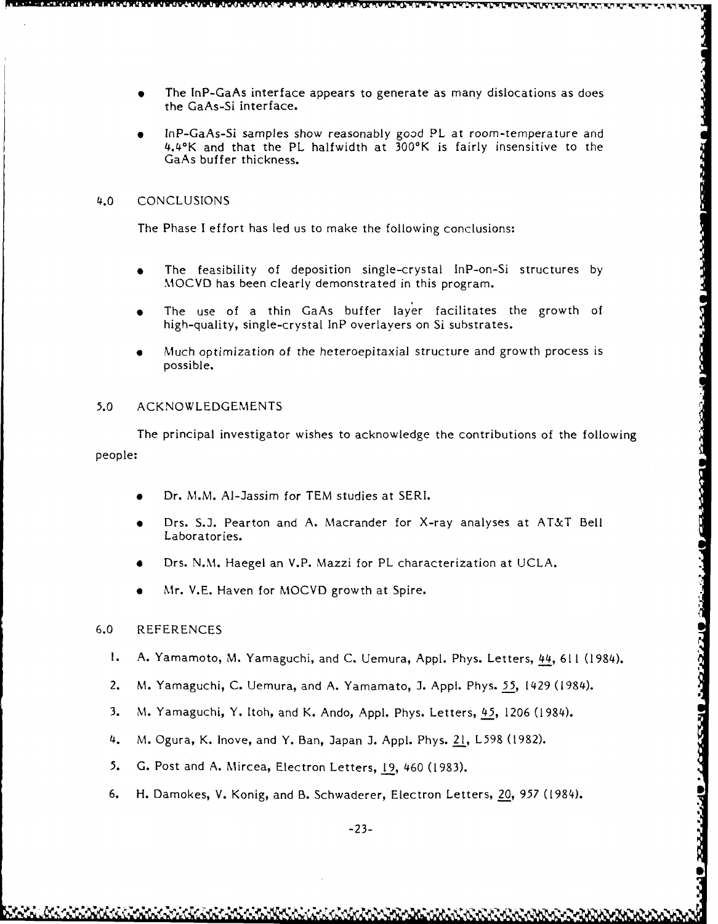- **0** The InP-GaAs interface appears to generate as many dislocations as does the GaAs-Si interface.
- InP-GaAs-Si samples show reasonably good PL at room-temperature and 4.4°K and that the PL halfwidth at 300'K is fairly insensitive to the GaAs buffer thickness.

#### 4.0 CONCLUSIONS

The Phase I effort has led us to make the following conclusions:

- The feasibility of deposition single-crystal InP-on-Si structures by MOCVD has been clearly demonstrated in this program.
- **"** The use of a thin GaAs buffer layer facilitates the growth of high-quality, single-crystal InP overlayers on Si substrates.
- **"** Much optimization of the heteroepitaxial structure and growth process is possible.

#### *5.0* ACKNOWLEDGEMENTS

The principal investigator wishes to acknowledge the contributions of the following people:

- Dr. M.M. Al-Jassim for TEM studies at SERI.
- Drs. S.J. Pearton and A. Macrander for X-ray analyses at AT&T Bell Laboratories.
- Drs. N.M. Haegel an V.P. Mazzi for PL characterization at UCLA.
- Mr. V.E. Haven for MOCVD growth at Spire.

#### 6.0 REFERENCES

**1.** A. Yamamoto, M. Yamaguchi, and **C.** Uemura, Appl. Phys. Letters, 44, 611 (1984).

**OLIGICSICIO** 

- 2. M. Yamaguchi, C. Uemura, and A. Yamamato, J. Appl. Phys. *55,* 1429 (1984).
- 3. M. Yamaguchi, Y. Itoh, and K. Ando, Appl. Phys. Letters, *45,* 1206 (1984).
- 4. M. Ogura, K. Inove, and Y. Ban, Japan J. Appl. Phys. 21, L598 (1982).
- *5.* G. Post and A. Mircea, Electron Letters, **19,** 460 (1983).
- 6. H. Damokes, V. Konig, and B. Schwaderer, Electron Letters, 20, *957* (1984).